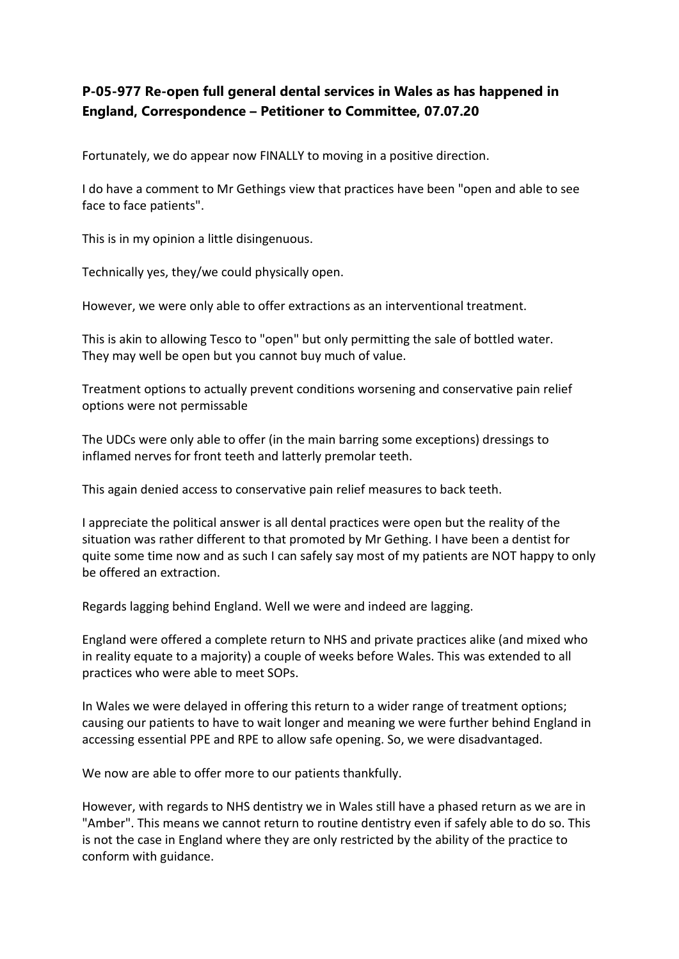## **P-05-977 Re-open full general dental services in Wales as has happened in England, Correspondence – Petitioner to Committee, 07.07.20**

Fortunately, we do appear now FINALLY to moving in a positive direction.

I do have a comment to Mr Gethings view that practices have been "open and able to see face to face patients".

This is in my opinion a little disingenuous.

Technically yes, they/we could physically open.

However, we were only able to offer extractions as an interventional treatment.

This is akin to allowing Tesco to "open" but only permitting the sale of bottled water. They may well be open but you cannot buy much of value.

Treatment options to actually prevent conditions worsening and conservative pain relief options were not permissable

The UDCs were only able to offer (in the main barring some exceptions) dressings to inflamed nerves for front teeth and latterly premolar teeth.

This again denied access to conservative pain relief measures to back teeth.

I appreciate the political answer is all dental practices were open but the reality of the situation was rather different to that promoted by Mr Gething. I have been a dentist for quite some time now and as such I can safely say most of my patients are NOT happy to only be offered an extraction.

Regards lagging behind England. Well we were and indeed are lagging.

England were offered a complete return to NHS and private practices alike (and mixed who in reality equate to a majority) a couple of weeks before Wales. This was extended to all practices who were able to meet SOPs.

In Wales we were delayed in offering this return to a wider range of treatment options; causing our patients to have to wait longer and meaning we were further behind England in accessing essential PPE and RPE to allow safe opening. So, we were disadvantaged.

We now are able to offer more to our patients thankfully.

However, with regards to NHS dentistry we in Wales still have a phased return as we are in "Amber". This means we cannot return to routine dentistry even if safely able to do so. This is not the case in England where they are only restricted by the ability of the practice to conform with guidance.